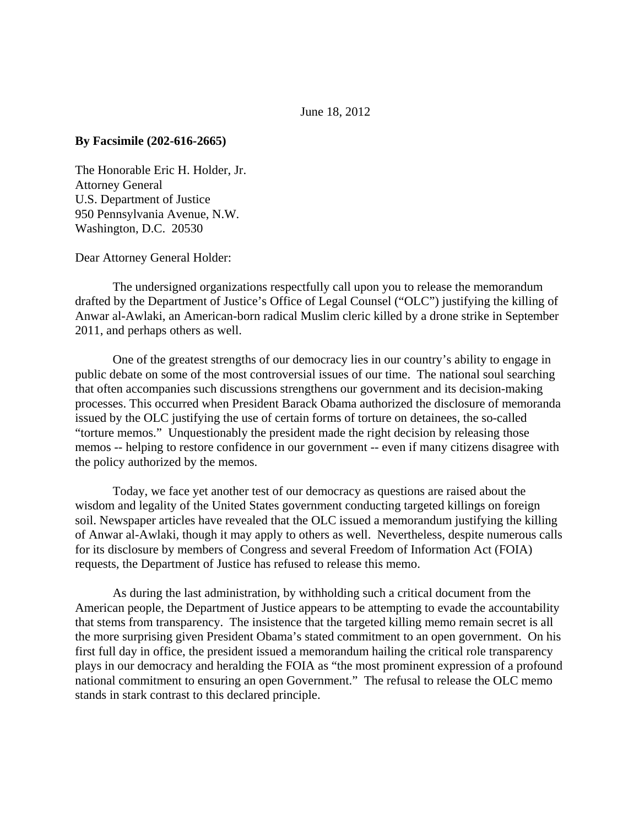## June 18, 2012

## **By Facsimile (202-616-2665)**

The Honorable Eric H. Holder, Jr. Attorney General U.S. Department of Justice 950 Pennsylvania Avenue, N.W. Washington, D.C. 20530

Dear Attorney General Holder:

The undersigned organizations respectfully call upon you to release the memorandum drafted by the Department of Justice's Office of Legal Counsel ("OLC") justifying the killing of Anwar al-Awlaki, an American-born radical Muslim cleric killed by a drone strike in September 2011, and perhaps others as well.

One of the greatest strengths of our democracy lies in our country's ability to engage in public debate on some of the most controversial issues of our time. The national soul searching that often accompanies such discussions strengthens our government and its decision-making processes. This occurred when President Barack Obama authorized the disclosure of memoranda issued by the OLC justifying the use of certain forms of torture on detainees, the so-called "torture memos." Unquestionably the president made the right decision by releasing those memos -- helping to restore confidence in our government -- even if many citizens disagree with the policy authorized by the memos.

Today, we face yet another test of our democracy as questions are raised about the wisdom and legality of the United States government conducting targeted killings on foreign soil. Newspaper articles have revealed that the OLC issued a memorandum justifying the killing of Anwar al-Awlaki, though it may apply to others as well. Nevertheless, despite numerous calls for its disclosure by members of Congress and several Freedom of Information Act (FOIA) requests, the Department of Justice has refused to release this memo.

As during the last administration, by withholding such a critical document from the American people, the Department of Justice appears to be attempting to evade the accountability that stems from transparency. The insistence that the targeted killing memo remain secret is all the more surprising given President Obama's stated commitment to an open government. On his first full day in office, the president issued a memorandum hailing the critical role transparency plays in our democracy and heralding the FOIA as "the most prominent expression of a profound national commitment to ensuring an open Government." The refusal to release the OLC memo stands in stark contrast to this declared principle.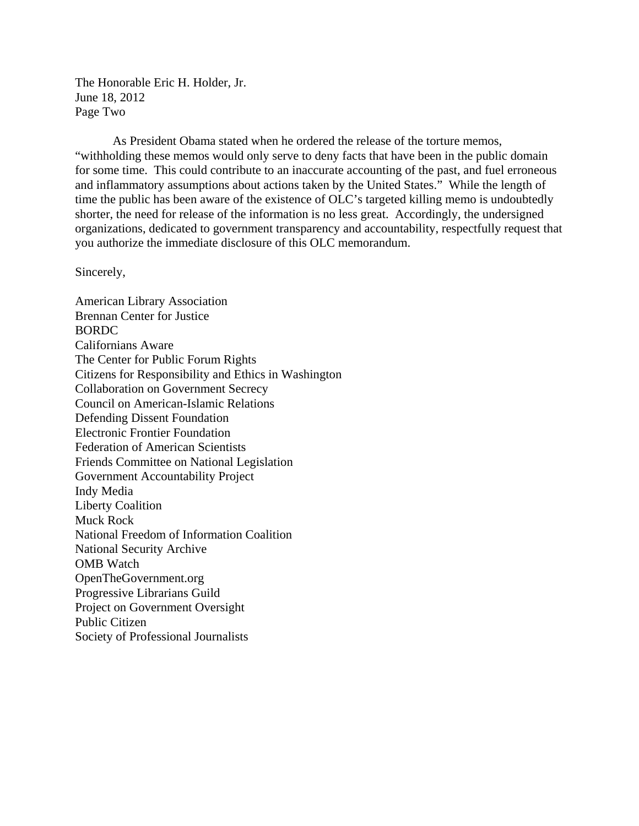The Honorable Eric H. Holder, Jr. June 18, 2012 Page Two

As President Obama stated when he ordered the release of the torture memos, "withholding these memos would only serve to deny facts that have been in the public domain for some time. This could contribute to an inaccurate accounting of the past, and fuel erroneous and inflammatory assumptions about actions taken by the United States." While the length of time the public has been aware of the existence of OLC's targeted killing memo is undoubtedly shorter, the need for release of the information is no less great. Accordingly, the undersigned organizations, dedicated to government transparency and accountability, respectfully request that you authorize the immediate disclosure of this OLC memorandum.

Sincerely,

American Library Association Brennan Center for Justice BORDC Californians Aware The Center for Public Forum Rights Citizens for Responsibility and Ethics in Washington Collaboration on Government Secrecy Council on American-Islamic Relations Defending Dissent Foundation Electronic Frontier Foundation Federation of American Scientists Friends Committee on National Legislation Government Accountability Project Indy Media Liberty Coalition Muck Rock National Freedom of Information Coalition National Security Archive OMB Watch OpenTheGovernment.org Progressive Librarians Guild Project on Government Oversight Public Citizen Society of Professional Journalists